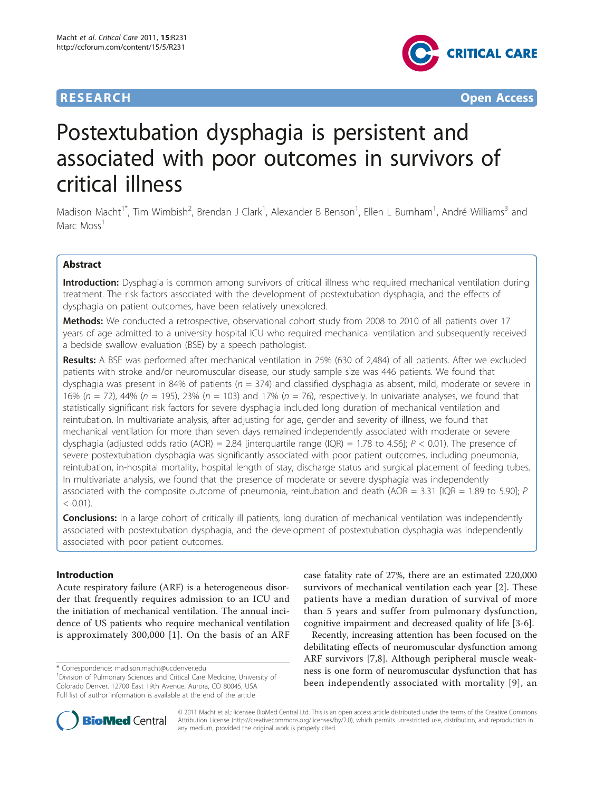

**RESEARCH CONTROL** CONTROL CONTROL CONTROL CONTROL CONTROL CONTROL CONTROL CONTROL CONTROL CONTROL CONTROL CONTROL CONTROL CONTROL CONTROL CONTROL CONTROL CONTROL CONTROL CONTROL CONTROL CONTROL CONTROL CONTROL CONTROL CON

# Postextubation dysphagia is persistent and associated with poor outcomes in survivors of critical illness

Madison Macht<sup>1\*</sup>, Tim Wimbish<sup>2</sup>, Brendan J Clark<sup>1</sup>, Alexander B Benson<sup>1</sup>, Ellen L Burnham<sup>1</sup>, André Williams<sup>3</sup> and Marc Moss<sup>1</sup>

# Abstract

Introduction: Dysphagia is common among survivors of critical illness who required mechanical ventilation during treatment. The risk factors associated with the development of postextubation dysphagia, and the effects of dysphagia on patient outcomes, have been relatively unexplored.

Methods: We conducted a retrospective, observational cohort study from 2008 to 2010 of all patients over 17 years of age admitted to a university hospital ICU who required mechanical ventilation and subsequently received a bedside swallow evaluation (BSE) by a speech pathologist.

Results: A BSE was performed after mechanical ventilation in 25% (630 of 2,484) of all patients. After we excluded patients with stroke and/or neuromuscular disease, our study sample size was 446 patients. We found that dysphagia was present in 84% of patients ( $n = 374$ ) and classified dysphagia as absent, mild, moderate or severe in 16% ( $n = 72$ ), 44% ( $n = 195$ ), 23% ( $n = 103$ ) and 17% ( $n = 76$ ), respectively. In univariate analyses, we found that statistically significant risk factors for severe dysphagia included long duration of mechanical ventilation and reintubation. In multivariate analysis, after adjusting for age, gender and severity of illness, we found that mechanical ventilation for more than seven days remained independently associated with moderate or severe dysphagia (adjusted odds ratio (AOR) = 2.84 [interquartile range (IQR) = 1.78 to 4.56];  $P < 0.01$ ). The presence of severe postextubation dysphagia was significantly associated with poor patient outcomes, including pneumonia, reintubation, in-hospital mortality, hospital length of stay, discharge status and surgical placement of feeding tubes. In multivariate analysis, we found that the presence of moderate or severe dysphagia was independently associated with the composite outcome of pneumonia, reintubation and death (AOR = 3.31  $[IQR = 1.89$  to 5.90]; P  $< 0.01$ ).

**Conclusions:** In a large cohort of critically ill patients, long duration of mechanical ventilation was independently associated with postextubation dysphagia, and the development of postextubation dysphagia was independently associated with poor patient outcomes.

# Introduction

Acute respiratory failure (ARF) is a heterogeneous disorder that frequently requires admission to an ICU and the initiation of mechanical ventilation. The annual incidence of US patients who require mechanical ventilation is approximately 300,000 [[1\]](#page-7-0). On the basis of an ARF

\* Correspondence: [madison.macht@ucdenver.edu](mailto:madison.macht@ucdenver.edu)

case fatality rate of 27%, there are an estimated 220,000 survivors of mechanical ventilation each year [\[2](#page-7-0)]. These patients have a median duration of survival of more than 5 years and suffer from pulmonary dysfunction, cognitive impairment and decreased quality of life [\[3-6](#page-7-0)].

Recently, increasing attention has been focused on the debilitating effects of neuromuscular dysfunction among ARF survivors [\[7](#page-7-0),[8\]](#page-7-0). Although peripheral muscle weakness is one form of neuromuscular dysfunction that has been independently associated with mortality [[9\]](#page-7-0), an



© 2011 Macht et al.; licensee BioMed Central Ltd. This is an open access article distributed under the terms of the Creative Commons Attribution License [\(http://creativecommons.org/licenses/by/2.0](http://creativecommons.org/licenses/by/2.0)), which permits unrestricted use, distribution, and reproduction in any medium, provided the original work is properly cited.

<sup>&</sup>lt;sup>1</sup> Division of Pulmonary Sciences and Critical Care Medicine, University of Colorado Denver, 12700 East 19th Avenue, Aurora, CO 80045, USA Full list of author information is available at the end of the article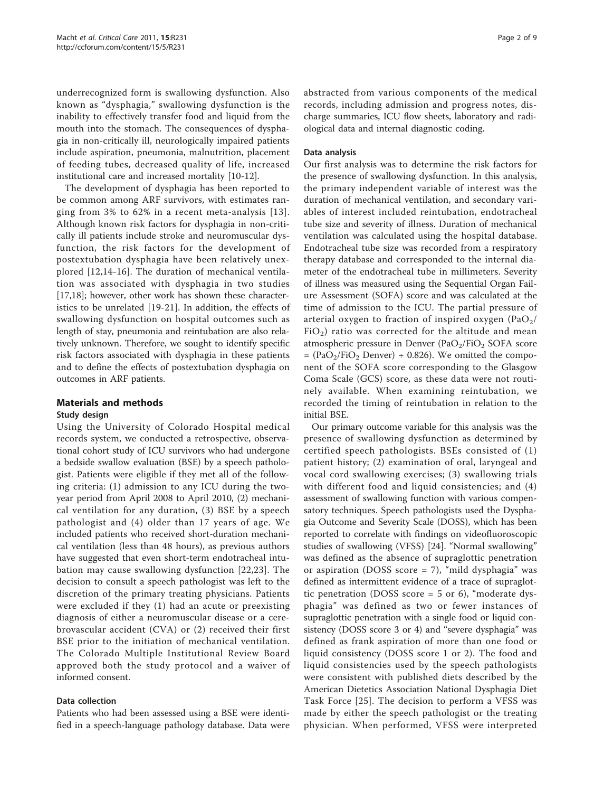underrecognized form is swallowing dysfunction. Also known as "dysphagia," swallowing dysfunction is the inability to effectively transfer food and liquid from the mouth into the stomach. The consequences of dysphagia in non-critically ill, neurologically impaired patients include aspiration, pneumonia, malnutrition, placement of feeding tubes, decreased quality of life, increased institutional care and increased mortality [[10-12\]](#page-7-0).

The development of dysphagia has been reported to be common among ARF survivors, with estimates ranging from 3% to 62% in a recent meta-analysis [[13\]](#page-7-0). Although known risk factors for dysphagia in non-critically ill patients include stroke and neuromuscular dysfunction, the risk factors for the development of postextubation dysphagia have been relatively unexplored [[12,14](#page-7-0)-[16](#page-7-0)]. The duration of mechanical ventilation was associated with dysphagia in two studies [[17,18\]](#page-7-0); however, other work has shown these characteristics to be unrelated [[19-21](#page-7-0)]. In addition, the effects of swallowing dysfunction on hospital outcomes such as length of stay, pneumonia and reintubation are also relatively unknown. Therefore, we sought to identify specific risk factors associated with dysphagia in these patients and to define the effects of postextubation dysphagia on outcomes in ARF patients.

# Materials and methods

# Study design

Using the University of Colorado Hospital medical records system, we conducted a retrospective, observational cohort study of ICU survivors who had undergone a bedside swallow evaluation (BSE) by a speech pathologist. Patients were eligible if they met all of the following criteria: (1) admission to any ICU during the twoyear period from April 2008 to April 2010, (2) mechanical ventilation for any duration, (3) BSE by a speech pathologist and (4) older than 17 years of age. We included patients who received short-duration mechanical ventilation (less than 48 hours), as previous authors have suggested that even short-term endotracheal intubation may cause swallowing dysfunction [[22,23\]](#page-7-0). The decision to consult a speech pathologist was left to the discretion of the primary treating physicians. Patients were excluded if they (1) had an acute or preexisting diagnosis of either a neuromuscular disease or a cerebrovascular accident (CVA) or (2) received their first BSE prior to the initiation of mechanical ventilation. The Colorado Multiple Institutional Review Board approved both the study protocol and a waiver of informed consent.

# Data collection

Patients who had been assessed using a BSE were identified in a speech-language pathology database. Data were abstracted from various components of the medical records, including admission and progress notes, discharge summaries, ICU flow sheets, laboratory and radiological data and internal diagnostic coding.

# Data analysis

Our first analysis was to determine the risk factors for the presence of swallowing dysfunction. In this analysis, the primary independent variable of interest was the duration of mechanical ventilation, and secondary variables of interest included reintubation, endotracheal tube size and severity of illness. Duration of mechanical ventilation was calculated using the hospital database. Endotracheal tube size was recorded from a respiratory therapy database and corresponded to the internal diameter of the endotracheal tube in millimeters. Severity of illness was measured using the Sequential Organ Failure Assessment (SOFA) score and was calculated at the time of admission to the ICU. The partial pressure of arterial oxygen to fraction of inspired oxygen (PaO $_2/$  $FiO<sub>2</sub>$ ) ratio was corrected for the altitude and mean atmospheric pressure in Denver  $(PaO<sub>2</sub>/FiO<sub>2</sub> SOFA score)$  $=$  (PaO<sub>2</sub>/FiO<sub>2</sub> Denver)  $\div$  0.826). We omitted the component of the SOFA score corresponding to the Glasgow Coma Scale (GCS) score, as these data were not routinely available. When examining reintubation, we recorded the timing of reintubation in relation to the initial BSE.

Our primary outcome variable for this analysis was the presence of swallowing dysfunction as determined by certified speech pathologists. BSEs consisted of (1) patient history; (2) examination of oral, laryngeal and vocal cord swallowing exercises; (3) swallowing trials with different food and liquid consistencies; and (4) assessment of swallowing function with various compensatory techniques. Speech pathologists used the Dysphagia Outcome and Severity Scale (DOSS), which has been reported to correlate with findings on videofluoroscopic studies of swallowing (VFSS) [\[24](#page-7-0)]. "Normal swallowing" was defined as the absence of supraglottic penetration or aspiration (DOSS score = 7), "mild dysphagia" was defined as intermittent evidence of a trace of supraglottic penetration (DOSS score  $=$  5 or 6), "moderate dysphagia" was defined as two or fewer instances of supraglottic penetration with a single food or liquid consistency (DOSS score 3 or 4) and "severe dysphagia" was defined as frank aspiration of more than one food or liquid consistency (DOSS score 1 or 2). The food and liquid consistencies used by the speech pathologists were consistent with published diets described by the American Dietetics Association National Dysphagia Diet Task Force [\[25\]](#page-7-0). The decision to perform a VFSS was made by either the speech pathologist or the treating physician. When performed, VFSS were interpreted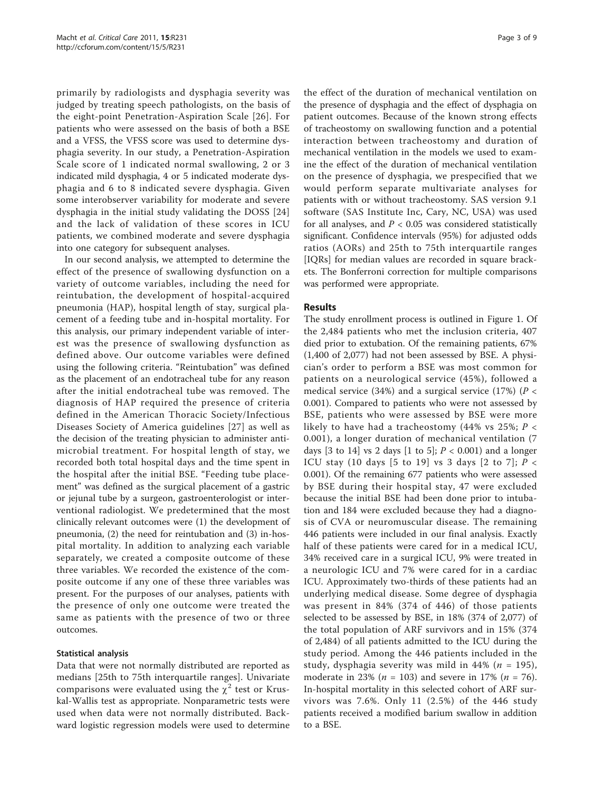primarily by radiologists and dysphagia severity was judged by treating speech pathologists, on the basis of the eight-point Penetration-Aspiration Scale [[26\]](#page-7-0). For patients who were assessed on the basis of both a BSE and a VFSS, the VFSS score was used to determine dysphagia severity. In our study, a Penetration-Aspiration Scale score of 1 indicated normal swallowing, 2 or 3 indicated mild dysphagia, 4 or 5 indicated moderate dysphagia and 6 to 8 indicated severe dysphagia. Given some interobserver variability for moderate and severe dysphagia in the initial study validating the DOSS [\[24](#page-7-0)] and the lack of validation of these scores in ICU patients, we combined moderate and severe dysphagia into one category for subsequent analyses.

In our second analysis, we attempted to determine the effect of the presence of swallowing dysfunction on a variety of outcome variables, including the need for reintubation, the development of hospital-acquired pneumonia (HAP), hospital length of stay, surgical placement of a feeding tube and in-hospital mortality. For this analysis, our primary independent variable of interest was the presence of swallowing dysfunction as defined above. Our outcome variables were defined using the following criteria. "Reintubation" was defined as the placement of an endotracheal tube for any reason after the initial endotracheal tube was removed. The diagnosis of HAP required the presence of criteria defined in the American Thoracic Society/Infectious Diseases Society of America guidelines [[27](#page-7-0)] as well as the decision of the treating physician to administer antimicrobial treatment. For hospital length of stay, we recorded both total hospital days and the time spent in the hospital after the initial BSE. "Feeding tube placement" was defined as the surgical placement of a gastric or jejunal tube by a surgeon, gastroenterologist or interventional radiologist. We predetermined that the most clinically relevant outcomes were (1) the development of pneumonia, (2) the need for reintubation and (3) in-hospital mortality. In addition to analyzing each variable separately, we created a composite outcome of these three variables. We recorded the existence of the composite outcome if any one of these three variables was present. For the purposes of our analyses, patients with the presence of only one outcome were treated the same as patients with the presence of two or three outcomes.

# Statistical analysis

Data that were not normally distributed are reported as medians [25th to 75th interquartile ranges]. Univariate comparisons were evaluated using the  $\chi^2$  test or Kruskal-Wallis test as appropriate. Nonparametric tests were used when data were not normally distributed. Backward logistic regression models were used to determine

the effect of the duration of mechanical ventilation on the presence of dysphagia and the effect of dysphagia on patient outcomes. Because of the known strong effects of tracheostomy on swallowing function and a potential interaction between tracheostomy and duration of mechanical ventilation in the models we used to examine the effect of the duration of mechanical ventilation on the presence of dysphagia, we prespecified that we would perform separate multivariate analyses for patients with or without tracheostomy. SAS version 9.1 software (SAS Institute Inc, Cary, NC, USA) was used for all analyses, and  $P < 0.05$  was considered statistically significant. Confidence intervals (95%) for adjusted odds ratios (AORs) and 25th to 75th interquartile ranges [IQRs] for median values are recorded in square brackets. The Bonferroni correction for multiple comparisons was performed were appropriate.

# Results

The study enrollment process is outlined in Figure [1.](#page-3-0) Of the 2,484 patients who met the inclusion criteria, 407 died prior to extubation. Of the remaining patients, 67% (1,400 of 2,077) had not been assessed by BSE. A physician's order to perform a BSE was most common for patients on a neurological service (45%), followed a medical service (34%) and a surgical service (17%) ( $P <$ 0.001). Compared to patients who were not assessed by BSE, patients who were assessed by BSE were more likely to have had a tracheostomy (44% vs 25%;  $P <$ 0.001), a longer duration of mechanical ventilation (7 days [3 to 14] vs 2 days [1 to 5];  $P < 0.001$ ) and a longer ICU stay (10 days [5 to 19] vs 3 days [2 to 7];  $P <$ 0.001). Of the remaining 677 patients who were assessed by BSE during their hospital stay, 47 were excluded because the initial BSE had been done prior to intubation and 184 were excluded because they had a diagnosis of CVA or neuromuscular disease. The remaining 446 patients were included in our final analysis. Exactly half of these patients were cared for in a medical ICU, 34% received care in a surgical ICU, 9% were treated in a neurologic ICU and 7% were cared for in a cardiac ICU. Approximately two-thirds of these patients had an underlying medical disease. Some degree of dysphagia was present in 84% (374 of 446) of those patients selected to be assessed by BSE, in 18% (374 of 2,077) of the total population of ARF survivors and in 15% (374 of 2,484) of all patients admitted to the ICU during the study period. Among the 446 patients included in the study, dysphagia severity was mild in 44% ( $n = 195$ ), moderate in 23% ( $n = 103$ ) and severe in 17% ( $n = 76$ ). In-hospital mortality in this selected cohort of ARF survivors was 7.6%. Only 11 (2.5%) of the 446 study patients received a modified barium swallow in addition to a BSE.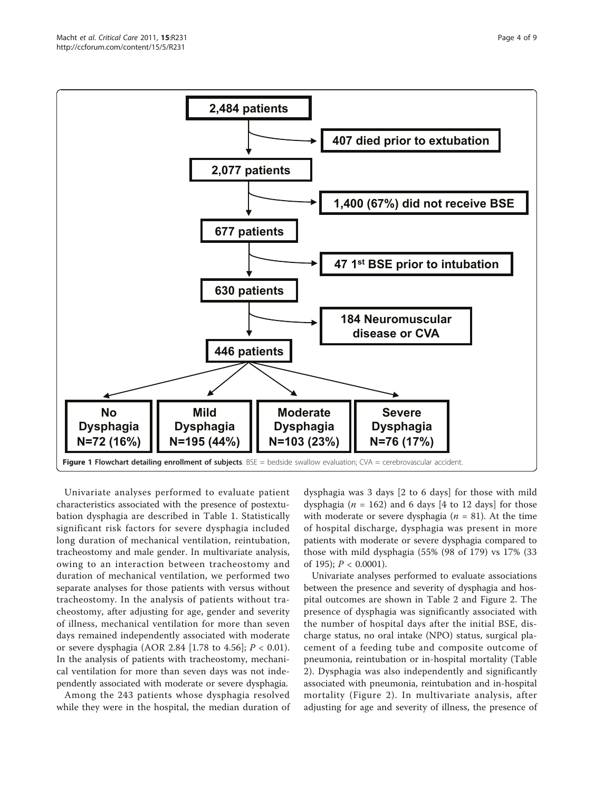<span id="page-3-0"></span>

Univariate analyses performed to evaluate patient characteristics associated with the presence of postextubation dysphagia are described in Table [1.](#page-4-0) Statistically significant risk factors for severe dysphagia included long duration of mechanical ventilation, reintubation, tracheostomy and male gender. In multivariate analysis, owing to an interaction between tracheostomy and duration of mechanical ventilation, we performed two separate analyses for those patients with versus without tracheostomy. In the analysis of patients without tracheostomy, after adjusting for age, gender and severity of illness, mechanical ventilation for more than seven days remained independently associated with moderate or severe dysphagia (AOR 2.84 [1.78 to 4.56];  $P < 0.01$ ). In the analysis of patients with tracheostomy, mechanical ventilation for more than seven days was not independently associated with moderate or severe dysphagia.

Among the 243 patients whose dysphagia resolved while they were in the hospital, the median duration of

dysphagia was 3 days [2 to 6 days] for those with mild dysphagia ( $n = 162$ ) and 6 days [4 to 12 days] for those with moderate or severe dysphagia ( $n = 81$ ). At the time of hospital discharge, dysphagia was present in more patients with moderate or severe dysphagia compared to those with mild dysphagia (55% (98 of 179) vs 17% (33 of 195);  $P < 0.0001$ ).

Univariate analyses performed to evaluate associations between the presence and severity of dysphagia and hospital outcomes are shown in Table [2](#page-4-0) and Figure [2.](#page-5-0) The presence of dysphagia was significantly associated with the number of hospital days after the initial BSE, discharge status, no oral intake (NPO) status, surgical placement of a feeding tube and composite outcome of pneumonia, reintubation or in-hospital mortality (Table [2\)](#page-4-0). Dysphagia was also independently and significantly associated with pneumonia, reintubation and in-hospital mortality (Figure [2\)](#page-5-0). In multivariate analysis, after adjusting for age and severity of illness, the presence of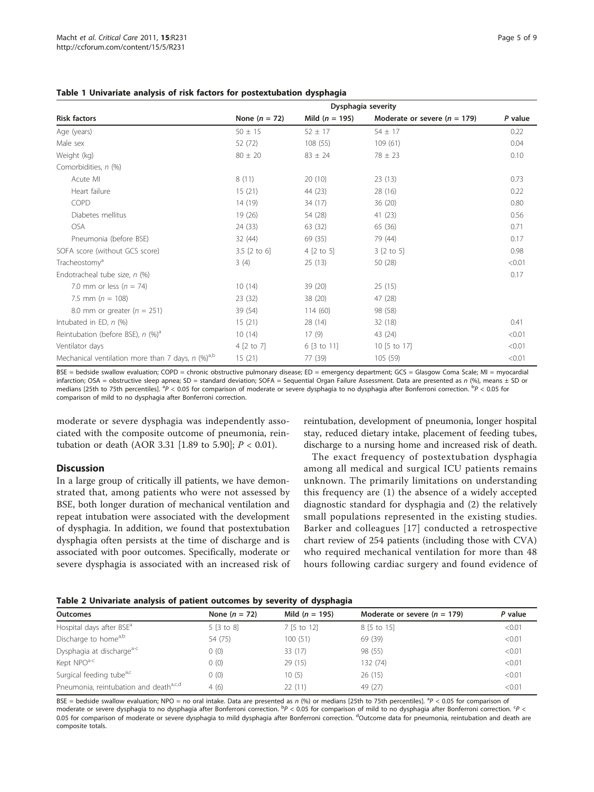<span id="page-4-0"></span>

|  |  |  |  | Table 1 Univariate analysis of risk factors for postextubation dysphagia |  |
|--|--|--|--|--------------------------------------------------------------------------|--|
|--|--|--|--|--------------------------------------------------------------------------|--|

|                                                                 | Dysphagia severity |                    |                                  |         |  |  |
|-----------------------------------------------------------------|--------------------|--------------------|----------------------------------|---------|--|--|
| <b>Risk factors</b>                                             | None $(n = 72)$    | Mild ( $n = 195$ ) | Moderate or severe ( $n = 179$ ) | P value |  |  |
| Age (years)                                                     | $50 \pm 15$        | $52 \pm 17$        | $54 \pm 17$                      | 0.22    |  |  |
| Male sex                                                        | 52 (72)            | 108 (55)           | 109(61)                          | 0.04    |  |  |
| Weight (kg)                                                     | $80 \pm 20$        | $83 \pm 24$        | $78 \pm 23$                      | 0.10    |  |  |
| Comorbidities, n (%)                                            |                    |                    |                                  |         |  |  |
| Acute MI                                                        | 8(11)              | 20(10)             | 23(13)                           | 0.73    |  |  |
| Heart failure                                                   | 15(21)             | 44 (23)            | 28 (16)                          | 0.22    |  |  |
| <b>COPD</b>                                                     | 14(19)             | 34 (17)            | 36(20)                           | 0.80    |  |  |
| Diabetes mellitus                                               | 19(26)             | 54 (28)            | 41(23)                           | 0.56    |  |  |
| <b>OSA</b>                                                      | 24 (33)            | 63 (32)            | 65 (36)                          | 0.71    |  |  |
| Pneumonia (before BSE)                                          | 32 (44)            | 69 (35)            | 79 (44)                          | 0.17    |  |  |
| SOFA score (without GCS score)                                  | $3.5$ [2 to 6]     | 4 [2 to 5]         | 3 [2 to 5]                       | 0.98    |  |  |
| Tracheostomy <sup>a</sup>                                       | 3(4)               | 25(13)             | 50 (28)                          | < 0.01  |  |  |
| Endotracheal tube size, n (%)                                   |                    |                    |                                  | 0.17    |  |  |
| 7.0 mm or less $(n = 74)$                                       | 10(14)             | 39(20)             | 25(15)                           |         |  |  |
| 7.5 mm ( $n = 108$ )                                            | 23(32)             | 38 (20)            | 47 (28)                          |         |  |  |
| 8.0 mm or greater ( $n = 251$ )                                 | 39 (54)            | 114(60)            | 98 (58)                          |         |  |  |
| Intubated in ED, $n$ $%$                                        | 15(21)             | 28(14)             | 32(18)                           | 0.41    |  |  |
| Reintubation (before BSE), $n$ (%) <sup>a</sup>                 | 10(14)             | 17(9)              | 43 (24)                          | < 0.01  |  |  |
| Ventilator days                                                 | 4 [2 to 7]         | 6 [3 to 11]        | 10 [5 to 17]                     | < 0.01  |  |  |
| Mechanical ventilation more than 7 days, $n$ (%) <sup>a,b</sup> | 15(21)             | 77 (39)            | 105 (59)                         | < 0.01  |  |  |

BSE = bedside swallow evaluation; COPD = chronic obstructive pulmonary disease; ED = emergency department; GCS = Glasgow Coma Scale; MI = myocardial infarction: OSA = obstructive sleep apnea; SD = standard deviation; SOFA = Sequential Organ Failure Assessment. Data are presented as n (%), means + SD or medians [25th to 75th percentiles]. <sup>a</sup>P < 0.05 for comparison of moderate or severe dysphagia to no dysphagia after Bonferroni correction. <sup>b</sup>P < 0.05 for comparison of mild to no dysphagia after Bonferroni correction.

moderate or severe dysphagia was independently associated with the composite outcome of pneumonia, reintubation or death (AOR 3.31 [1.89 to 5.90];  $P < 0.01$ ).

# **Discussion**

In a large group of critically ill patients, we have demonstrated that, among patients who were not assessed by BSE, both longer duration of mechanical ventilation and repeat intubation were associated with the development of dysphagia. In addition, we found that postextubation dysphagia often persists at the time of discharge and is associated with poor outcomes. Specifically, moderate or severe dysphagia is associated with an increased risk of

reintubation, development of pneumonia, longer hospital stay, reduced dietary intake, placement of feeding tubes, discharge to a nursing home and increased risk of death.

The exact frequency of postextubation dysphagia among all medical and surgical ICU patients remains unknown. The primarily limitations on understanding this frequency are (1) the absence of a widely accepted diagnostic standard for dysphagia and (2) the relatively small populations represented in the existing studies. Barker and colleagues [[17](#page-7-0)] conducted a retrospective chart review of 254 patients (including those with CVA) who required mechanical ventilation for more than 48 hours following cardiac surgery and found evidence of

|  |  |  |  |  |  |  |  |  |  | Table 2 Univariate analysis of patient outcomes by severity of dysphagia |
|--|--|--|--|--|--|--|--|--|--|--------------------------------------------------------------------------|
|--|--|--|--|--|--|--|--|--|--|--------------------------------------------------------------------------|

| P value |
|---------|
| < 0.01  |
| < 0.01  |
| < 0.01  |
| < 0.01  |
| < 0.01  |
| < 0.01  |
|         |

BSE = bedside swallow evaluation; NPO = no oral intake. Data are presented as n (%) or medians [25th to 75th percentiles]. <sup>a</sup>P < 0.05 for comparison of moderate or severe dysphagia to no dysphagia after Bonferroni correction. <sup>b</sup>P < 0.05 for comparison of mild to no dysphagia after Bonferroni correction. <sup>S</sup>P < 0.05 for comparison of moderate or severe dysphagia to mild dysphagia after Bonferroni correction. <sup>d</sup>Outcome data for pneumonia, reintubation and death are composite totals.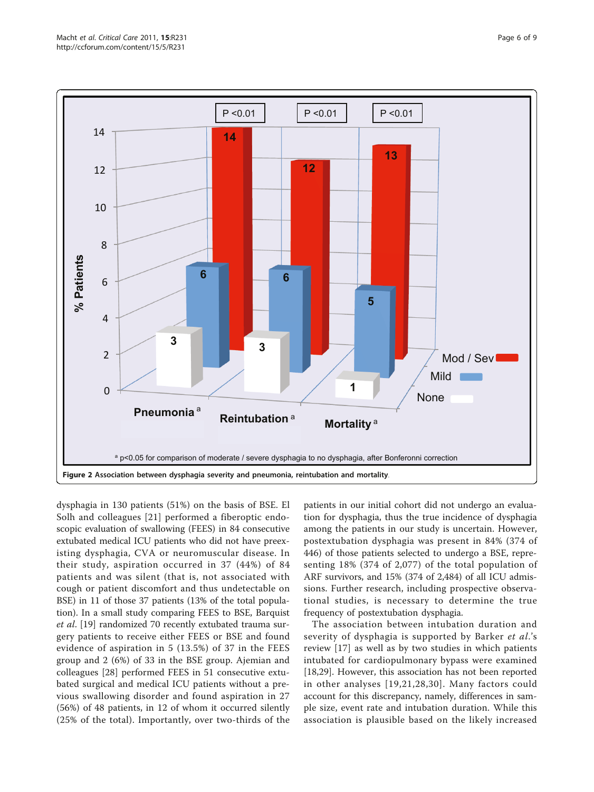<span id="page-5-0"></span>

dysphagia in 130 patients (51%) on the basis of BSE. El Solh and colleagues [\[21\]](#page-7-0) performed a fiberoptic endoscopic evaluation of swallowing (FEES) in 84 consecutive extubated medical ICU patients who did not have preexisting dysphagia, CVA or neuromuscular disease. In their study, aspiration occurred in 37 (44%) of 84 patients and was silent (that is, not associated with cough or patient discomfort and thus undetectable on BSE) in 11 of those 37 patients (13% of the total population). In a small study comparing FEES to BSE, Barquist et al. [\[19](#page-7-0)] randomized 70 recently extubated trauma surgery patients to receive either FEES or BSE and found evidence of aspiration in 5 (13.5%) of 37 in the FEES group and 2 (6%) of 33 in the BSE group. Ajemian and colleagues [\[28](#page-7-0)] performed FEES in 51 consecutive extubated surgical and medical ICU patients without a previous swallowing disorder and found aspiration in 27 (56%) of 48 patients, in 12 of whom it occurred silently (25% of the total). Importantly, over two-thirds of the

patients in our initial cohort did not undergo an evaluation for dysphagia, thus the true incidence of dysphagia among the patients in our study is uncertain. However, postextubation dysphagia was present in 84% (374 of 446) of those patients selected to undergo a BSE, representing 18% (374 of 2,077) of the total population of ARF survivors, and 15% (374 of 2,484) of all ICU admissions. Further research, including prospective observational studies, is necessary to determine the true frequency of postextubation dysphagia.

The association between intubation duration and severity of dysphagia is supported by Barker et al.'s review [[17\]](#page-7-0) as well as by two studies in which patients intubated for cardiopulmonary bypass were examined [[18,29\]](#page-7-0). However, this association has not been reported in other analyses [[19](#page-7-0),[21,28](#page-7-0),[30\]](#page-8-0). Many factors could account for this discrepancy, namely, differences in sample size, event rate and intubation duration. While this association is plausible based on the likely increased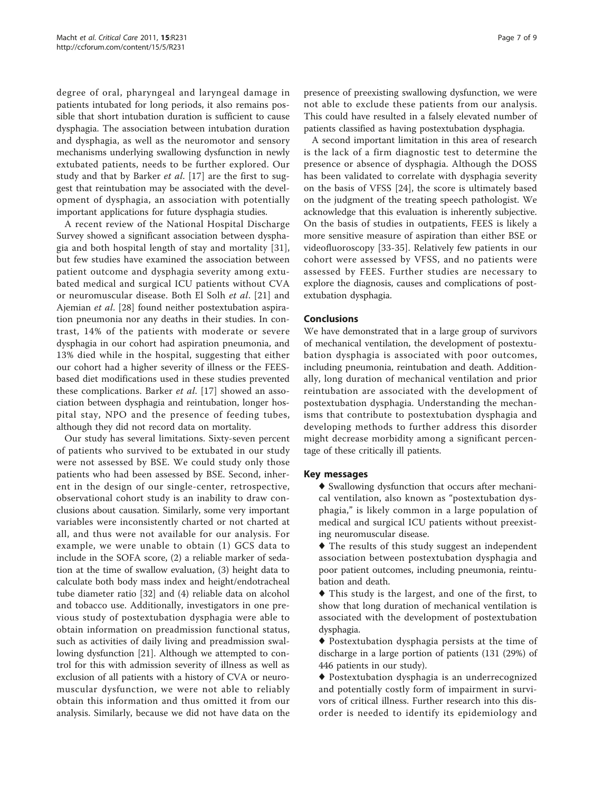degree of oral, pharyngeal and laryngeal damage in patients intubated for long periods, it also remains possible that short intubation duration is sufficient to cause dysphagia. The association between intubation duration and dysphagia, as well as the neuromotor and sensory mechanisms underlying swallowing dysfunction in newly extubated patients, needs to be further explored. Our study and that by Barker et al. [\[17](#page-7-0)] are the first to suggest that reintubation may be associated with the development of dysphagia, an association with potentially important applications for future dysphagia studies.

A recent review of the National Hospital Discharge Survey showed a significant association between dysphagia and both hospital length of stay and mortality [[31](#page-8-0)], but few studies have examined the association between patient outcome and dysphagia severity among extubated medical and surgical ICU patients without CVA or neuromuscular disease. Both El Solh et al. [\[21](#page-7-0)] and Ajemian et al. [[28\]](#page-7-0) found neither postextubation aspiration pneumonia nor any deaths in their studies. In contrast, 14% of the patients with moderate or severe dysphagia in our cohort had aspiration pneumonia, and 13% died while in the hospital, suggesting that either our cohort had a higher severity of illness or the FEESbased diet modifications used in these studies prevented these complications. Barker et al. [[17\]](#page-7-0) showed an association between dysphagia and reintubation, longer hospital stay, NPO and the presence of feeding tubes, although they did not record data on mortality.

Our study has several limitations. Sixty-seven percent of patients who survived to be extubated in our study were not assessed by BSE. We could study only those patients who had been assessed by BSE. Second, inherent in the design of our single-center, retrospective, observational cohort study is an inability to draw conclusions about causation. Similarly, some very important variables were inconsistently charted or not charted at all, and thus were not available for our analysis. For example, we were unable to obtain (1) GCS data to include in the SOFA score, (2) a reliable marker of sedation at the time of swallow evaluation, (3) height data to calculate both body mass index and height/endotracheal tube diameter ratio [\[32](#page-8-0)] and (4) reliable data on alcohol and tobacco use. Additionally, investigators in one previous study of postextubation dysphagia were able to obtain information on preadmission functional status, such as activities of daily living and preadmission swallowing dysfunction [\[21](#page-7-0)]. Although we attempted to control for this with admission severity of illness as well as exclusion of all patients with a history of CVA or neuromuscular dysfunction, we were not able to reliably obtain this information and thus omitted it from our analysis. Similarly, because we did not have data on the

presence of preexisting swallowing dysfunction, we were not able to exclude these patients from our analysis. This could have resulted in a falsely elevated number of patients classified as having postextubation dysphagia.

A second important limitation in this area of research is the lack of a firm diagnostic test to determine the presence or absence of dysphagia. Although the DOSS has been validated to correlate with dysphagia severity on the basis of VFSS [\[24](#page-7-0)], the score is ultimately based on the judgment of the treating speech pathologist. We acknowledge that this evaluation is inherently subjective. On the basis of studies in outpatients, FEES is likely a more sensitive measure of aspiration than either BSE or videofluoroscopy [\[33](#page-8-0)-[35](#page-8-0)]. Relatively few patients in our cohort were assessed by VFSS, and no patients were assessed by FEES. Further studies are necessary to explore the diagnosis, causes and complications of postextubation dysphagia.

# Conclusions

We have demonstrated that in a large group of survivors of mechanical ventilation, the development of postextubation dysphagia is associated with poor outcomes, including pneumonia, reintubation and death. Additionally, long duration of mechanical ventilation and prior reintubation are associated with the development of postextubation dysphagia. Understanding the mechanisms that contribute to postextubation dysphagia and developing methods to further address this disorder might decrease morbidity among a significant percentage of these critically ill patients.

## Key messages

♦ Swallowing dysfunction that occurs after mechanical ventilation, also known as "postextubation dysphagia," is likely common in a large population of medical and surgical ICU patients without preexisting neuromuscular disease.

♦ The results of this study suggest an independent association between postextubation dysphagia and poor patient outcomes, including pneumonia, reintubation and death.

♦ This study is the largest, and one of the first, to show that long duration of mechanical ventilation is associated with the development of postextubation dysphagia.

♦ Postextubation dysphagia persists at the time of discharge in a large portion of patients (131 (29%) of 446 patients in our study).

♦ Postextubation dysphagia is an underrecognized and potentially costly form of impairment in survivors of critical illness. Further research into this disorder is needed to identify its epidemiology and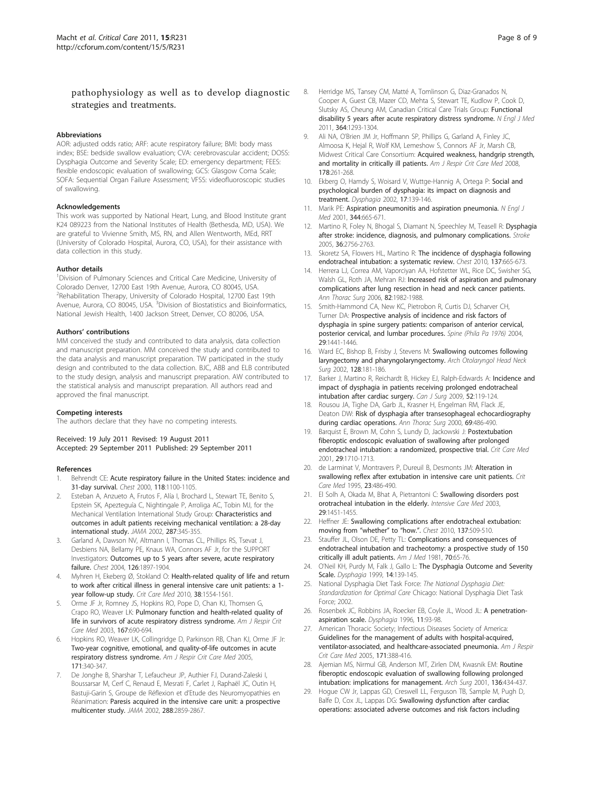# <span id="page-7-0"></span>pathophysiology as well as to develop diagnostic strategies and treatments.

#### Abbreviations

AOR: adjusted odds ratio; ARF: acute respiratory failure; BMI: body mass index; BSE: bedside swallow evaluation; CVA: cerebrovascular accident; DOSS: Dysphagia Outcome and Severity Scale; ED: emergency department; FEES: flexible endoscopic evaluation of swallowing; GCS: Glasgow Coma Scale; SOFA: Sequential Organ Failure Assessment; VFSS: videofluoroscopic studies of swallowing.

#### Acknowledgements

This work was supported by National Heart, Lung, and Blood Institute grant K24 089223 from the National Institutes of Health (Bethesda, MD, USA). We are grateful to Vivienne Smith, MS, RN, and Allen Wentworth, MEd, RRT (University of Colorado Hospital, Aurora, CO, USA), for their assistance with data collection in this study.

#### Author details

<sup>1</sup> Division of Pulmonary Sciences and Critical Care Medicine, University of Colorado Denver, 12700 East 19th Avenue, Aurora, CO 80045, USA. <sup>2</sup> Rehabilitation Therapy, University of Colorado Hospital, 12700 East 19th Avenue, Aurora, CO 80045, USA. <sup>3</sup> Division of Biostatistics and Bioinformatics, National Jewish Health, 1400 Jackson Street, Denver, CO 80206, USA.

#### Authors' contributions

MM conceived the study and contributed to data analysis, data collection and manuscript preparation. MM conceived the study and contributed to the data analysis and manuscript preparation. TW participated in the study design and contributed to the data collection. BJC, ABB and ELB contributed to the study design, analysis and manuscript preparation. AW contributed to the statistical analysis and manuscript preparation. All authors read and approved the final manuscript.

#### Competing interests

The authors declare that they have no competing interests.

Received: 19 July 2011 Revised: 19 August 2011 Accepted: 29 September 2011 Published: 29 September 2011

#### References

- 1. Behrendt CE: [Acute respiratory failure in the United States: incidence and](http://www.ncbi.nlm.nih.gov/pubmed/11035684?dopt=Abstract) [31-day survival.](http://www.ncbi.nlm.nih.gov/pubmed/11035684?dopt=Abstract) Chest 2000, 118:1100-1105.
- 2. Esteban A, Anzueto A, Frutos F, Alía I, Brochard L, Stewart TE, Benito S, Epstein SK, Apezteguía C, Nightingale P, Arroliga AC, Tobin MJ, for the Mechanical Ventilation International Study Group: [Characteristics and](http://www.ncbi.nlm.nih.gov/pubmed/11790214?dopt=Abstract) [outcomes in adult patients receiving mechanical ventilation: a 28-day](http://www.ncbi.nlm.nih.gov/pubmed/11790214?dopt=Abstract) [international study.](http://www.ncbi.nlm.nih.gov/pubmed/11790214?dopt=Abstract) JAMA 2002, 287:345-355.
- 3. Garland A, Dawson NV, Altmann I, Thomas CL, Phillips RS, Tsevat J, Desbiens NA, Bellamy PE, Knaus WA, Connors AF Jr, for the SUPPORT Investigators: [Outcomes up to 5 years after severe, acute respiratory](http://www.ncbi.nlm.nih.gov/pubmed/15596690?dopt=Abstract) [failure.](http://www.ncbi.nlm.nih.gov/pubmed/15596690?dopt=Abstract) Chest 2004, 126:1897-1904.
- Myhren H, Ekeberg Ø, Stokland O: [Health-related quality of life and return](http://www.ncbi.nlm.nih.gov/pubmed/20473149?dopt=Abstract) [to work after critical illness in general intensive care unit patients: a 1](http://www.ncbi.nlm.nih.gov/pubmed/20473149?dopt=Abstract) [year follow-up study.](http://www.ncbi.nlm.nih.gov/pubmed/20473149?dopt=Abstract) Crit Care Med 2010, 38:1554-1561.
- 5. Orme JF Jr, Romney JS, Hopkins RO, Pope D, Chan KJ, Thomsen G, Crapo RO, Weaver LK: [Pulmonary function and health-related quality of](http://www.ncbi.nlm.nih.gov/pubmed/12493646?dopt=Abstract) [life in survivors of acute respiratory distress syndrome.](http://www.ncbi.nlm.nih.gov/pubmed/12493646?dopt=Abstract) Am J Respir Crit Care Med 2003, 167:690-694.
- 6. Hopkins RO, Weaver LK, Collingridge D, Parkinson RB, Chan KJ, Orme JF Jr: [Two-year cognitive, emotional, and quality-of-life outcomes in acute](http://www.ncbi.nlm.nih.gov/pubmed/15542793?dopt=Abstract) [respiratory distress syndrome.](http://www.ncbi.nlm.nih.gov/pubmed/15542793?dopt=Abstract) Am J Respir Crit Care Med 2005, 171:340-347.
- De Jonghe B, Sharshar T, Lefaucheur JP, Authier FJ, Durand-Zaleski I, Boussarsar M, Cerf C, Renaud E, Mesrati F, Carlet J, Raphaël JC, Outin H, Bastuji-Garin S, Groupe de Réflexion et d'Etude des Neuromyopathies en Réanimation: [Paresis acquired in the intensive care unit: a prospective](http://www.ncbi.nlm.nih.gov/pubmed/12472328?dopt=Abstract) [multicenter study.](http://www.ncbi.nlm.nih.gov/pubmed/12472328?dopt=Abstract) JAMA 2002, 288:2859-2867.
- 8. Herridge MS, Tansey CM, Matté A, Tomlinson G, Diaz-Granados N, Cooper A, Guest CB, Mazer CD, Mehta S, Stewart TE, Kudlow P, Cook D, Slutsky AS, Cheung AM, Canadian Critical Care Trials Group: [Functional](http://www.ncbi.nlm.nih.gov/pubmed/21470008?dopt=Abstract) [disability 5 years after acute respiratory distress syndrome.](http://www.ncbi.nlm.nih.gov/pubmed/21470008?dopt=Abstract) N Engl J Med 2011, 364:1293-1304.
- 9. Ali NA, O'Brien JM Jr, Hoffmann SP, Phillips G, Garland A, Finley JC, Almoosa K, Hejal R, Wolf KM, Lemeshow S, Connors AF Jr, Marsh CB, Midwest Critical Care Consortium: [Acquired weakness, handgrip strength,](http://www.ncbi.nlm.nih.gov/pubmed/18511703?dopt=Abstract) [and mortality in critically ill patients.](http://www.ncbi.nlm.nih.gov/pubmed/18511703?dopt=Abstract) Am J Respir Crit Care Med 2008, 178:261-268.
- 10. Ekberg O, Hamdy S, Woisard V, Wuttge-Hannig A, Ortega P: [Social and](http://www.ncbi.nlm.nih.gov/pubmed/11956839?dopt=Abstract) [psychological burden of dysphagia: its impact on diagnosis and](http://www.ncbi.nlm.nih.gov/pubmed/11956839?dopt=Abstract) [treatment.](http://www.ncbi.nlm.nih.gov/pubmed/11956839?dopt=Abstract) Dysphagia 2002, 17:139-146.
- 11. Marik PE: [Aspiration pneumonitis and aspiration pneumonia.](http://www.ncbi.nlm.nih.gov/pubmed/11228282?dopt=Abstract) N Engl J Med 2001, 344:665-671.
- 12. Martino R, Foley N, Bhogal S, Diamant N, Speechley M, Teasell R: [Dysphagia](http://www.ncbi.nlm.nih.gov/pubmed/16269630?dopt=Abstract) [after stroke: incidence, diagnosis, and pulmonary complications.](http://www.ncbi.nlm.nih.gov/pubmed/16269630?dopt=Abstract) Stroke 2005, 36:2756-2763.
- 13. Skoretz SA, Flowers HL, Martino R: [The incidence of dysphagia following](http://www.ncbi.nlm.nih.gov/pubmed/20202948?dopt=Abstract) [endotracheal intubation: a systematic review.](http://www.ncbi.nlm.nih.gov/pubmed/20202948?dopt=Abstract) Chest 2010, 137:665-673.
- 14. Herrera LJ, Correa AM, Vaporciyan AA, Hofstetter WL, Rice DC, Swisher SG, Walsh GL, Roth JA, Mehran RJ: [Increased risk of aspiration and pulmonary](http://www.ncbi.nlm.nih.gov/pubmed/17126095?dopt=Abstract) [complications after lung resection in head and neck cancer patients.](http://www.ncbi.nlm.nih.gov/pubmed/17126095?dopt=Abstract) Ann Thorac Surg 2006, 82:1982-1988.
- 15. Smith-Hammond CA, New KC, Pietrobon R, Curtis DJ, Scharver CH, Turner DA: Prospective analysis of incidence and risk factors of dysphagia in spine surgery patients: comparison of anterior cervical, posterior cervical, and lumbar procedures. Spine (Phila Pa 1976) 2004, 29:1441-1446.
- 16. Ward EC, Bishop B, Frisby J, Stevens M: [Swallowing outcomes following](http://www.ncbi.nlm.nih.gov/pubmed/11843728?dopt=Abstract) [laryngectomy and pharyngolaryngectomy.](http://www.ncbi.nlm.nih.gov/pubmed/11843728?dopt=Abstract) Arch Otolaryngol Head Neck Surg 2002, 128:181-186.
- 17. Barker J, Martino R, Reichardt B, Hickey EJ, Ralph-Edwards A: [Incidence and](http://www.ncbi.nlm.nih.gov/pubmed/19399206?dopt=Abstract) [impact of dysphagia in patients receiving prolonged endotracheal](http://www.ncbi.nlm.nih.gov/pubmed/19399206?dopt=Abstract) [intubation after cardiac surgery.](http://www.ncbi.nlm.nih.gov/pubmed/19399206?dopt=Abstract) Can J Surg 2009, 52:119-124.
- 18. Rousou JA, Tighe DA, Garb JL, Krasner H, Engelman RM, Flack JE, Deaton DW: [Risk of dysphagia after transesophageal echocardiography](http://www.ncbi.nlm.nih.gov/pubmed/10735685?dopt=Abstract) [during cardiac operations.](http://www.ncbi.nlm.nih.gov/pubmed/10735685?dopt=Abstract) Ann Thorac Surg 2000, 69:486-490.
- 19. Barquist E, Brown M, Cohn S, Lundy D, Jackowski J: [Postextubation](http://www.ncbi.nlm.nih.gov/pubmed/11546969?dopt=Abstract) [fiberoptic endoscopic evaluation of swallowing after prolonged](http://www.ncbi.nlm.nih.gov/pubmed/11546969?dopt=Abstract) [endotracheal intubation: a randomized, prospective trial.](http://www.ncbi.nlm.nih.gov/pubmed/11546969?dopt=Abstract) Crit Care Med 2001, 29:1710-1713.
- 20. de Larminat V, Montravers P, Dureuil B, Desmonts JM: [Alteration in](http://www.ncbi.nlm.nih.gov/pubmed/7874899?dopt=Abstract) [swallowing reflex after extubation in intensive care unit patients.](http://www.ncbi.nlm.nih.gov/pubmed/7874899?dopt=Abstract) Crit Care Med 1995, 23:486-490.
- 21. El Solh A, Okada M, Bhat A, Pietrantoni C: [Swallowing disorders post](http://www.ncbi.nlm.nih.gov/pubmed/12904855?dopt=Abstract) [orotracheal intubation in the elderly.](http://www.ncbi.nlm.nih.gov/pubmed/12904855?dopt=Abstract) Intensive Care Med 2003, 29:1451-1455.
- 22. Heffner JE: [Swallowing complications after endotracheal extubation:](http://www.ncbi.nlm.nih.gov/pubmed/20202944?dopt=Abstract) [moving from](http://www.ncbi.nlm.nih.gov/pubmed/20202944?dopt=Abstract) "whether" to "how.". Chest 2010, 137:509-510.
- 23. Stauffer JL, Olson DE, Petty TL: [Complications and consequences of](http://www.ncbi.nlm.nih.gov/pubmed/7457492?dopt=Abstract) [endotracheal intubation and tracheotomy: a prospective study of 150](http://www.ncbi.nlm.nih.gov/pubmed/7457492?dopt=Abstract) [critically ill adult patients.](http://www.ncbi.nlm.nih.gov/pubmed/7457492?dopt=Abstract) Am J Med 1981, 70:65-76.
- 24. O'Neil KH, Purdy M, Falk J, Gallo L: [The Dysphagia Outcome and Severity](http://www.ncbi.nlm.nih.gov/pubmed/10341109?dopt=Abstract) [Scale.](http://www.ncbi.nlm.nih.gov/pubmed/10341109?dopt=Abstract) Dysphagia 1999, 14:139-145.
- 25. National Dysphagia Diet Task Force: The National Dysphagia Diet: Standardization for Optimal Care Chicago: National Dysphagia Diet Task Force; 2002.
- 26. Rosenbek JC, Robbins JA, Roecker EB, Coyle JL, Wood JL: [A penetration](http://www.ncbi.nlm.nih.gov/pubmed/8721066?dopt=Abstract)[aspiration](http://www.ncbi.nlm.nih.gov/pubmed/8721066?dopt=Abstract) scale. Dysphagia 1996, 11:93-98.
- 27. American Thoracic Society; Infectious Diseases Society of America: [Guidelines for the management of adults with hospital-acquired,](http://www.ncbi.nlm.nih.gov/pubmed/15699079?dopt=Abstract) [ventilator-associated, and healthcare-associated pneumonia.](http://www.ncbi.nlm.nih.gov/pubmed/15699079?dopt=Abstract) Am J Respir Crit Care Med 2005, 171:388-416.
- 28. Ajemian MS, Nirmul GB, Anderson MT, Zirlen DM, Kwasnik EM: [Routine](http://www.ncbi.nlm.nih.gov/pubmed/11296115?dopt=Abstract) [fiberoptic endoscopic evaluation of swallowing following prolonged](http://www.ncbi.nlm.nih.gov/pubmed/11296115?dopt=Abstract) [intubation: implications for management.](http://www.ncbi.nlm.nih.gov/pubmed/11296115?dopt=Abstract) Arch Surg 2001, 136:434-437.
- 29. Hogue CW Jr, Lappas GD, Creswell LL, Ferguson TB, Sample M, Pugh D, Balfe D, Cox JL, Lappas DG: [Swallowing dysfunction after cardiac](http://www.ncbi.nlm.nih.gov/pubmed/7637370?dopt=Abstract) [operations: associated adverse outcomes and risk factors including](http://www.ncbi.nlm.nih.gov/pubmed/7637370?dopt=Abstract)